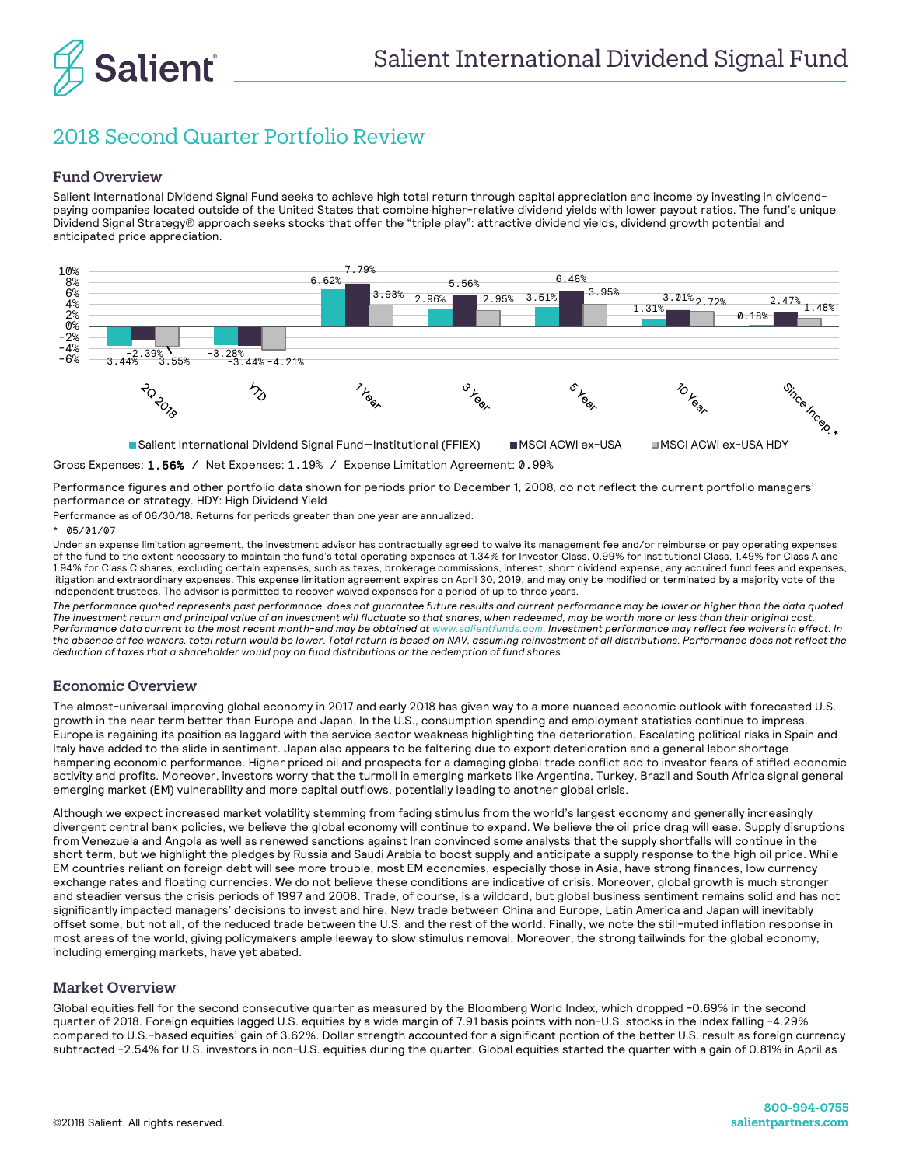

# 2018 Second Quarter Portfolio Review

### Fund Overview

Salient International Dividend Signal Fund seeks to achieve high total return through capital appreciation and income by investing in dividendpaying companies located outside of the United States that combine higher-relative dividend yields with lower payout ratios. The fund's unique Dividend Signal Strategy® approach seeks stocks that offer the "triple play": attractive dividend yields, dividend growth potential and anticipated price appreciation.



Gross Expenses: 1.56% / Net Expenses: 1.19% / Expense Limitation Agreement: 0.99%

Performance figures and other portfolio data shown for periods prior to December 1, 2008*,* do not reflect the current portfolio managers' performance or strategy. HDY: High Dividend Yield

Performance as of 06/30/18. Returns for periods greater than one year are annualized.

#### 05/01/07

Under an expense limitation agreement, the investment advisor has contractually agreed to waive its management fee and/or reimburse or pay operating expenses of the fund to the extent necessary to maintain the fund's total operating expenses at 1.34% for Investor Class, 0.99% for Institutional Class, 1.49% for Class A and 1.94% for Class C shares, excluding certain expenses, such as taxes, brokerage commissions, interest, short dividend expense, any acquired fund fees and expenses, litigation and extraordinary expenses. This expense limitation agreement expires on April 30, 2019, and may only be modified or terminated by a majority vote of the independent trustees. The advisor is permitted to recover waived expenses for a period of up to three years.

*The performance quoted represents past performance, does not guarantee future results and current performance may be lower or higher than the data quoted. The investment return and principal value of an investment will fluctuate so that shares, when redeemed, may be worth more or less than their original cost. Performance data current to the most recent month-end may be obtained a[t www.salientfunds.com.](http://www.salientfunds.com/) Investment performance may reflect fee waivers in effect. In the absence of fee waivers, total return would be lower. Total return is based on NAV, assuming reinvestment of all distributions. Performance does not reflect the deduction of taxes that a shareholder would pay on fund distributions or the redemption of fund shares.*

#### Economic Overview

The almost-universal improving global economy in 2017 and early 2018 has given way to a more nuanced economic outlook with forecasted U.S. growth in the near term better than Europe and Japan. In the U.S., consumption spending and employment statistics continue to impress. Europe is regaining its position as laggard with the service sector weakness highlighting the deterioration. Escalating political risks in Spain and Italy have added to the slide in sentiment. Japan also appears to be faltering due to export deterioration and a general labor shortage hampering economic performance. Higher priced oil and prospects for a damaging global trade conflict add to investor fears of stifled economic activity and profits. Moreover, investors worry that the turmoil in emerging markets like Argentina, Turkey, Brazil and South Africa signal general emerging market (EM) vulnerability and more capital outflows, potentially leading to another global crisis.

Although we expect increased market volatility stemming from fading stimulus from the world's largest economy and generally increasingly divergent central bank policies, we believe the global economy will continue to expand. We believe the oil price drag will ease. Supply disruptions from Venezuela and Angola as well as renewed sanctions against Iran convinced some analysts that the supply shortfalls will continue in the short term, but we highlight the pledges by Russia and Saudi Arabia to boost supply and anticipate a supply response to the high oil price. While EM countries reliant on foreign debt will see more trouble, most EM economies, especially those in Asia, have strong finances, low currency exchange rates and floating currencies. We do not believe these conditions are indicative of crisis. Moreover, global growth is much stronger and steadier versus the crisis periods of 1997 and 2008. Trade, of course, is a wildcard, but global business sentiment remains solid and has not significantly impacted managers' decisions to invest and hire. New trade between China and Europe, Latin America and Japan will inevitably offset some, but not all, of the reduced trade between the U.S. and the rest of the world. Finally, we note the still-muted inflation response in most areas of the world, giving policymakers ample leeway to slow stimulus removal. Moreover, the strong tailwinds for the global economy, including emerging markets, have yet abated.

## Market Overview

Global equities fell for the second consecutive quarter as measured by the Bloomberg World Index, which dropped -0.69% in the second quarter of 2018. Foreign equities lagged U.S. equities by a wide margin of 7.91 basis points with non-U.S. stocks in the index falling -4.29% compared to U.S.-based equities' gain of 3.62%. Dollar strength accounted for a significant portion of the better U.S. result as foreign currency subtracted -2.54% for U.S. investors in non-U.S. equities during the quarter. Global equities started the quarter with a gain of 0.81% in April as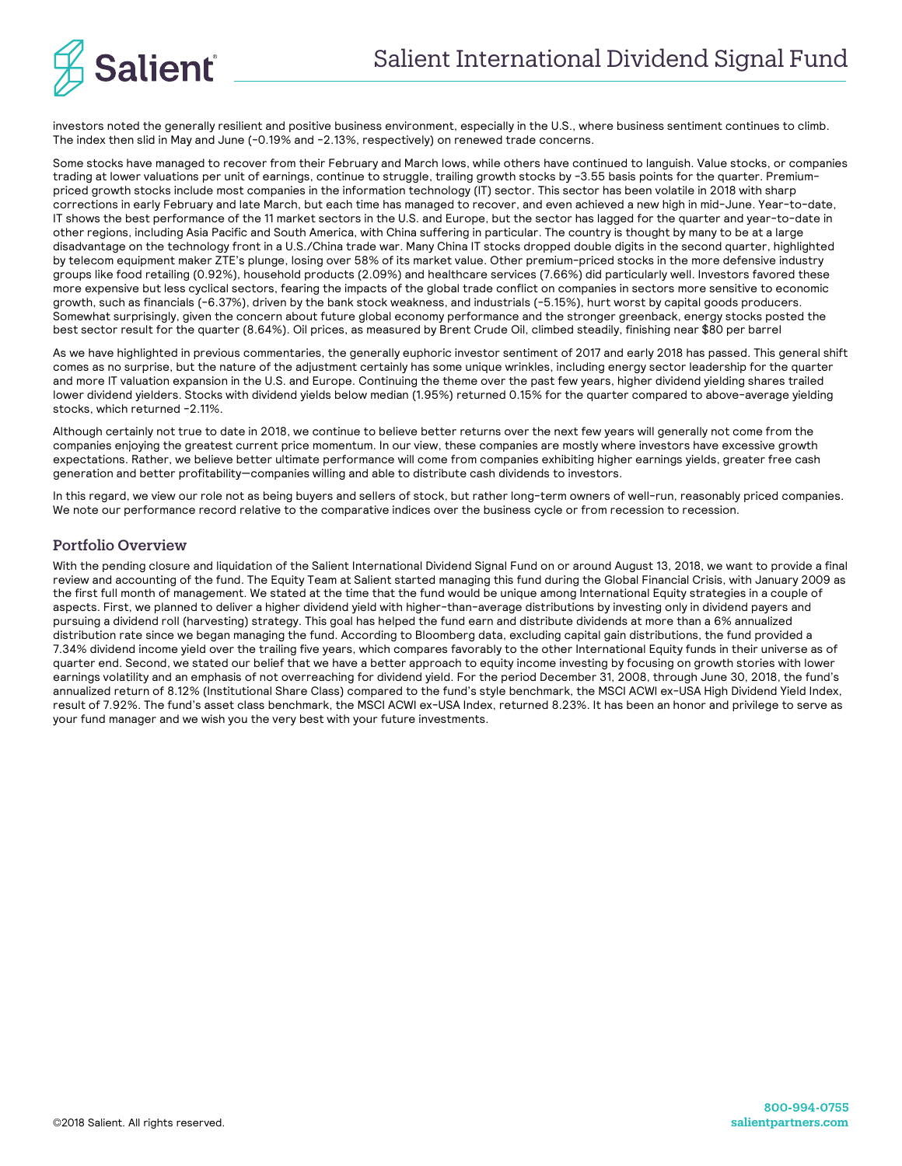

investors noted the generally resilient and positive business environment, especially in the U.S., where business sentiment continues to climb. The index then slid in May and June (-0.19% and -2.13%, respectively) on renewed trade concerns.

Some stocks have managed to recover from their February and March lows, while others have continued to languish. Value stocks, or companies trading at lower valuations per unit of earnings, continue to struggle, trailing growth stocks by -3.55 basis points for the quarter. Premiumpriced growth stocks include most companies in the information technology (IT) sector. This sector has been volatile in 2018 with sharp corrections in early February and late March, but each time has managed to recover, and even achieved a new high in mid-June. Year-to-date, IT shows the best performance of the 11 market sectors in the U.S. and Europe, but the sector has lagged for the quarter and year-to-date in other regions, including Asia Pacific and South America, with China suffering in particular. The country is thought by many to be at a large disadvantage on the technology front in a U.S./China trade war. Many China IT stocks dropped double digits in the second quarter, highlighted by telecom equipment maker ZTE's plunge, losing over 58% of its market value. Other premium-priced stocks in the more defensive industry groups like food retailing (0.92%), household products (2.09%) and healthcare services (7.66%) did particularly well. Investors favored these more expensive but less cyclical sectors, fearing the impacts of the global trade conflict on companies in sectors more sensitive to economic growth, such as financials (-6.37%), driven by the bank stock weakness, and industrials (-5.15%), hurt worst by capital goods producers. Somewhat surprisingly, given the concern about future global economy performance and the stronger greenback, energy stocks posted the best sector result for the quarter (8.64%). Oil prices, as measured by Brent Crude Oil, climbed steadily, finishing near \$80 per barrel

As we have highlighted in previous commentaries, the generally euphoric investor sentiment of 2017 and early 2018 has passed. This general shift comes as no surprise, but the nature of the adjustment certainly has some unique wrinkles, including energy sector leadership for the quarter and more IT valuation expansion in the U.S. and Europe. Continuing the theme over the past few years, higher dividend yielding shares trailed lower dividend yielders. Stocks with dividend yields below median (1.95%) returned 0.15% for the quarter compared to above-average yielding stocks, which returned -2.11%.

Although certainly not true to date in 2018, we continue to believe better returns over the next few years will generally not come from the companies enjoying the greatest current price momentum. In our view, these companies are mostly where investors have excessive growth expectations. Rather, we believe better ultimate performance will come from companies exhibiting higher earnings yields, greater free cash generation and better profitability—companies willing and able to distribute cash dividends to investors.

In this regard, we view our role not as being buyers and sellers of stock, but rather long-term owners of well-run, reasonably priced companies. We note our performance record relative to the comparative indices over the business cycle or from recession to recession.

# Portfolio Overview

With the pending closure and liquidation of the Salient International Dividend Signal Fund on or around August 13, 2018, we want to provide a final review and accounting of the fund. The Equity Team at Salient started managing this fund during the Global Financial Crisis, with January 2009 as the first full month of management. We stated at the time that the fund would be unique among International Equity strategies in a couple of aspects. First, we planned to deliver a higher dividend yield with higher-than-average distributions by investing only in dividend payers and pursuing a dividend roll (harvesting) strategy. This goal has helped the fund earn and distribute dividends at more than a 6% annualized distribution rate since we began managing the fund. According to Bloomberg data, excluding capital gain distributions, the fund provided a 7.34% dividend income yield over the trailing five years, which compares favorably to the other International Equity funds in their universe as of quarter end. Second, we stated our belief that we have a better approach to equity income investing by focusing on growth stories with lower earnings volatility and an emphasis of not overreaching for dividend yield. For the period December 31, 2008, through June 30, 2018, the fund's annualized return of 8.12% (Institutional Share Class) compared to the fund's style benchmark, the MSCI ACWI ex-USA High Dividend Yield Index, result of 7.92%. The fund's asset class benchmark, the MSCI ACWI ex-USA Index, returned 8.23%. It has been an honor and privilege to serve as your fund manager and we wish you the very best with your future investments.